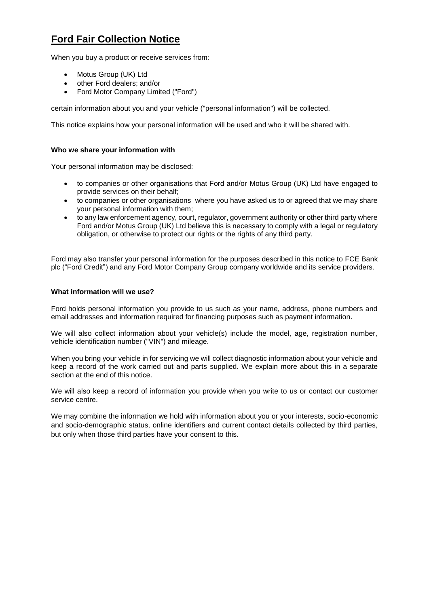# **Ford Fair Collection Notice**

When you buy a product or receive services from:

- Motus Group (UK) Ltd
- other Ford dealers; and/or
- Ford Motor Company Limited ("Ford")

certain information about you and your vehicle ("personal information") will be collected.

This notice explains how your personal information will be used and who it will be shared with.

# **Who we share your information with**

Your personal information may be disclosed:

- to companies or other organisations that Ford and/or Motus Group (UK) Ltd have engaged to provide services on their behalf;
- to companies or other organisations where you have asked us to or agreed that we may share your personal information with them;
- to any law enforcement agency, court, regulator, government authority or other third party where Ford and/or Motus Group (UK) Ltd believe this is necessary to comply with a legal or regulatory obligation, or otherwise to protect our rights or the rights of any third party.

Ford may also transfer your personal information for the purposes described in this notice to FCE Bank plc ("Ford Credit") and any Ford Motor Company Group company worldwide and its service providers.

### **What information will we use?**

Ford holds personal information you provide to us such as your name, address, phone numbers and email addresses and information required for financing purposes such as payment information.

We will also collect information about your vehicle(s) include the model, age, registration number, vehicle identification number ("VIN") and mileage.

When you bring your vehicle in for servicing we will collect diagnostic information about your vehicle and keep a record of the work carried out and parts supplied. We explain more about this in a separate section at the end of this notice.

We will also keep a record of information you provide when you write to us or contact our customer service centre.

We may combine the information we hold with information about you or your interests, socio-economic and socio-demographic status, online identifiers and current contact details collected by third parties, but only when those third parties have your consent to this.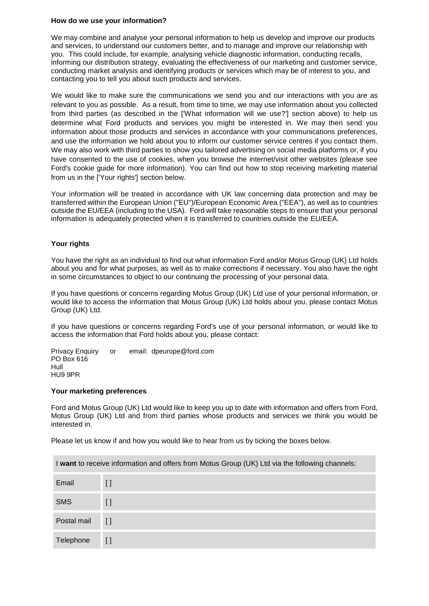#### **How do we use your information?**

We may combine and analyse your personal information to help us develop and improve our products and services, to understand our customers better, and to manage and improve our relationship with you. This could include, for example, analysing vehicle diagnostic information, conducting recalls, informing our distribution strategy, evaluating the effectiveness of our marketing and customer service, conducting market analysis and identifying products or services which may be of interest to you, and contacting you to tell you about such products and services.

We would like to make sure the communications we send you and our interactions with you are as relevant to you as possible. As a result, from time to time, we may use information about you collected from third parties (as described in the ['What information will we use?'] section above) to help us determine what Ford products and services you might be interested in. We may then send you information about those products and services in accordance with your communications preferences, and use the information we hold about you to inform our customer service centres if you contact them. We may also work with third parties to show you tailored advertising on social media platforms or, if you have consented to the use of cookies, when you browse the internet/visit other websites (please see Ford's cookie guide for more information). You can find out how to stop receiving marketing material from us in the ['Your rights'] section below.

Your information will be treated in accordance with UK law concerning data protection and may be transferred within the European Union ("EU")/European Economic Area ("EEA"), as well as to countries outside the EU/EEA (including to the USA). Ford will take reasonable steps to ensure that your personal information is adequately protected when it is transferred to countries outside the EU/EEA.

# **Your rights**

You have the right as an individual to find out what information Ford and/or Motus Group (UK) Ltd holds about you and for what purposes, as well as to make corrections if necessary. You also have the right in some circumstances to object to our continuing the processing of your personal data.

If you have questions or concerns regarding Motus Group (UK) Ltd use of your personal information, or would like to access the information that Motus Group (UK) Ltd holds about you, please contact Motus Group (UK) Ltd.

If you have questions or concerns regarding Ford's use of your personal information, or would like to access the information that Ford holds about you, please contact:

Privacy Enquiry or email: dpeurope@ford.com PO Box 616 Hull HU9 9PR

#### **Your marketing preferences**

Ford and Motus Group (UK) Ltd would like to keep you up to date with information and offers from Ford, Motus Group (UK) Ltd and from third parties whose products and services we think you would be interested in.

Please let us know if and how you would like to hear from us by ticking the boxes below.

I **want** to receive information and offers from Motus Group (UK) Ltd via the following channels: Email [] SMS [ ] Postal mail [ ] Telephone []